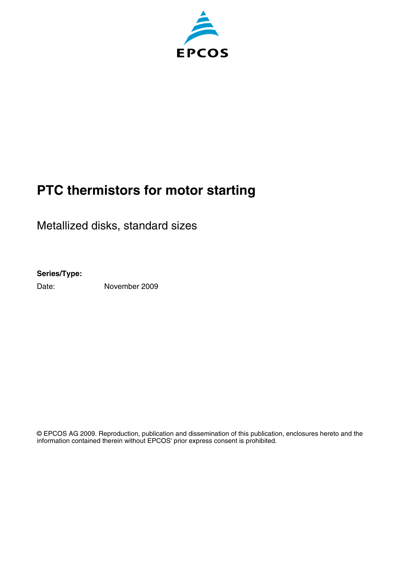

# **PTC thermistors for motor starting**

Metallized disks, standard sizes

#### **Series/Type:**

Date: November 2009

© EPCOS AG 2009. Reproduction, publication and dissemination of this publication, enclosures hereto and the information contained therein without EPCOS' prior express consent is prohibited.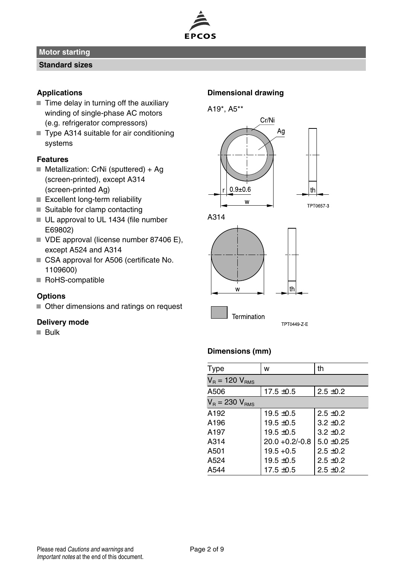

#### **Standard sizes**

#### **Applications**

- $\blacksquare$  Time delay in turning off the auxiliary winding of single-phase AC motors (e.g. refrigerator compressors)
- Type A314 suitable for air conditioning systems

## **Features**

- Metallization: CrNi (sputtered) + Ag (screen-printed), except A314 (screen-printed Ag)
- $\blacksquare$  Excellent long-term reliability
- $\blacksquare$  Suitable for clamp contacting
- UL approval to UL 1434 (file number E69802)
- VDE approval (license number 87406 E), except A524 and A314
- CSA approval for A506 (certificate No. 1109600)
- RoHS-compatible

#### **Options**

Other dimensions and ratings on request

#### **Delivery mode**

**Bulk** 

#### **Dimensional drawing**





#### **Dimensions (mm)**

| Type                  | W                 | th             |
|-----------------------|-------------------|----------------|
| $V_B = 120 V_{RMS}$   |                   |                |
| A506                  | $17.5 \pm 0.5$    | $2.5 \pm 0.2$  |
| $V_B$ = 230 $V_{BMS}$ |                   |                |
| A <sub>192</sub>      | $19.5 \pm 0.5$    | $2.5 + 0.2$    |
| A <sub>196</sub>      | $19.5 + 0.5$      | $3.2 + 0.2$    |
| A <sub>197</sub>      | $19.5 + 0.5$      | $3.2 \pm 0.2$  |
| A314                  | $20.0 + 0.2/-0.8$ | $5.0 \pm 0.25$ |
| A501                  | $19.5 + 0.5$      | $2.5 \pm 0.2$  |
| A524                  | $19.5 + 0.5$      | $2.5 + 0.2$    |
| A544                  | $17.5 \pm 0.5$    | $2.5 \pm 0.2$  |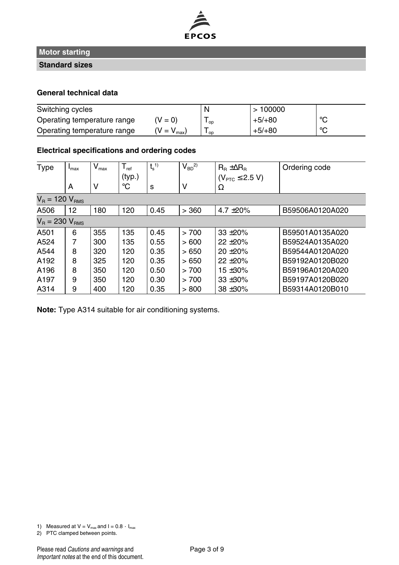

**Standard sizes**

#### **General technical data**

| Switching cycles            |                      | N    | >100000  |         |
|-----------------------------|----------------------|------|----------|---------|
| Operating temperature range | $(V = 0)$            | ' op | $+5/+80$ | $\circ$ |
| Operating temperature range | $V = V_{\text{max}}$ | l op | $+5/+80$ | $\circ$ |

#### **Electrical specifications and ordering codes**

| Type                  | $I_{\text{max}}$ | $V_{\text{max}}$ | $T_{ref}$ | $t_{\rm s}$ <sup>1)</sup> | $V_{BD}^2$ | $R_B \pm \Delta R_B$          | Ordering code   |
|-----------------------|------------------|------------------|-----------|---------------------------|------------|-------------------------------|-----------------|
|                       |                  |                  | (typ.)    |                           |            | $(V_{\text{PTC}} \leq 2.5 V)$ |                 |
|                       | A                | v                | °C        | s                         | v          | Ω                             |                 |
| $V_B$ = 120 $V_{BMS}$ |                  |                  |           |                           |            |                               |                 |
| A506                  | 12               | 180              | 120       | 0.45                      | > 360      | 4.7 $\pm 20\%$                | B59506A0120A020 |
| $V_B = 230 V_{BMS}$   |                  |                  |           |                           |            |                               |                 |
| A501                  | 6                | 355              | 135       | 0.45                      | >700       | $33 + 20%$                    | B59501A0135A020 |
| A524                  | 7                | 300              | 135       | 0.55                      | >600       | $22 + 20%$                    | B59524A0135A020 |
| A544                  | 8                | 320              | 120       | 0.35                      | >650       | 20 ± 20%                      | B59544A0120A020 |
| A192                  | 8                | 325              | 120       | 0.35                      | >650       | $22 + 20%$                    | B59192A0120B020 |
| A196                  | 8                | 350              | 120       | 0.50                      | > 700      | 15 $\pm$ 30%                  | B59196A0120A020 |
| A197                  | 9                | 350              | 120       | 0.30                      | > 700      | $33 + 30%$                    | B59197A0120B020 |
| A314                  | 9                | 400              | 120       | 0.35                      | > 800      | 38 ± 30%                      | B59314A0120B010 |

**Note:** Type A314 suitable for air conditioning systems.

2) PTC clamped between points.

<sup>1)</sup> Measured at  $V = V_{max}$  and  $I = 0.8 \cdot I_{max}$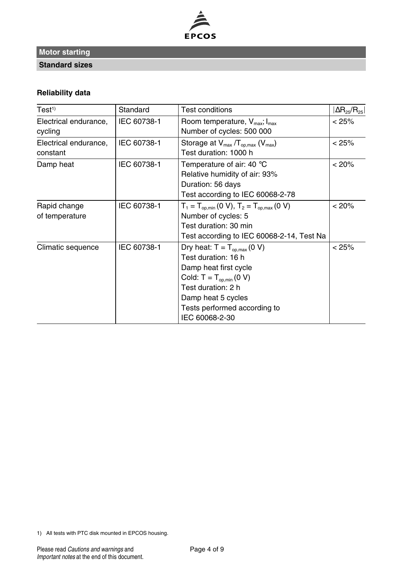

**Standard sizes**

## **Reliability data**

| Test <sup>1</sup>     | Standard    | <b>Test conditions</b>                                                         | $ \Delta R_{25}/R_{25} $ |
|-----------------------|-------------|--------------------------------------------------------------------------------|--------------------------|
| Electrical endurance, | IEC 60738-1 | Room temperature, $V_{\text{max}}$ ; $I_{\text{max}}$                          | < 25%                    |
| cycling               |             | Number of cycles: 500 000                                                      |                          |
| Electrical endurance, | IEC 60738-1 | Storage at $V_{max}/T_{op,max}$ ( $V_{max}$ )                                  | < 25%                    |
| constant              |             | Test duration: 1000 h                                                          |                          |
| Damp heat             | IEC 60738-1 | Temperature of air: 40 $\degree$ C                                             | < 20%                    |
|                       |             | Relative humidity of air: 93%                                                  |                          |
|                       |             | Duration: 56 days                                                              |                          |
|                       |             | Test according to IEC 60068-2-78                                               |                          |
| Rapid change          | IEC 60738-1 | $T_1 = T_{\text{op,min}} (0 \text{ V}), T_2 = T_{\text{op,max}} (0 \text{ V})$ | < 20%                    |
| of temperature        |             | Number of cycles: 5                                                            |                          |
|                       |             | Test duration: 30 min                                                          |                          |
|                       |             | Test according to IEC 60068-2-14, Test Na                                      |                          |
| Climatic sequence     | IEC 60738-1 | Dry heat: $T = T_{\text{on,max}}(0 V)$                                         | < 25%                    |
|                       |             | Test duration: 16 h                                                            |                          |
|                       |             | Damp heat first cycle                                                          |                          |
|                       |             | Cold: $T = T_{op,min} (0 V)$                                                   |                          |
|                       |             | Test duration: 2 h                                                             |                          |
|                       |             | Damp heat 5 cycles                                                             |                          |
|                       |             | Tests performed according to                                                   |                          |
|                       |             | IEC 60068-2-30                                                                 |                          |

1) All tests with PTC disk mounted in EPCOS housing.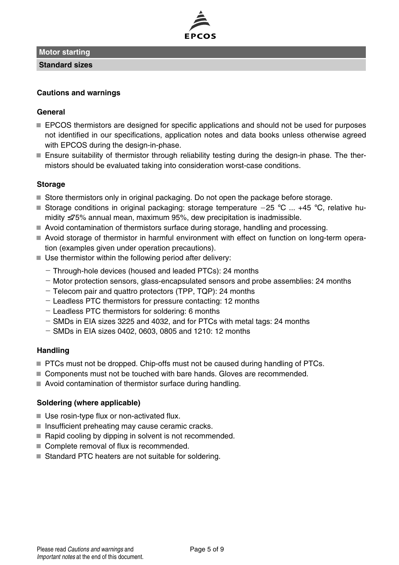

**Standard sizes**

#### **Cautions and warnings**

#### **General**

- **EPCOS** thermistors are designed for specific applications and should not be used for purposes not identified in our specifications, application notes and data books unless otherwise agreed with EPCOS during the design-in-phase.
- Ensure suitability of thermistor through reliability testing during the design-in phase. The thermistors should be evaluated taking into consideration worst-case conditions.

#### **Storage**

- $\blacksquare$  Store thermistors only in original packaging. Do not open the package before storage.
- Storage conditions in original packaging: storage temperature  $-25$  °C ... +45 °C, relative humidity ≤75% annual mean, maximum 95%, dew precipitation is inadmissible.
- Avoid contamination of thermistors surface during storage, handling and processing.
- Avoid storage of thermistor in harmful environment with effect on function on long-term operation (examples given under operation precautions).
- $\blacksquare$  Use thermistor within the following period after delivery:
	- Through-hole devices (housed and leaded PTCs): 24 months
	- $-$  Motor protection sensors, glass-encapsulated sensors and probe assemblies: 24 months
	- Telecom pair and quattro protectors (TPP, TQP): 24 months
	- Leadless PTC thermistors for pressure contacting: 12 months
	- Leadless PTC thermistors for soldering: 6 months
	- $-$  SMDs in EIA sizes 3225 and 4032, and for PTCs with metal tags: 24 months
	- $-$  SMDs in EIA sizes 0402, 0603, 0805 and 1210: 12 months

#### **Handling**

- **PTCs must not be dropped. Chip-offs must not be caused during handling of PTCs.**
- Components must not be touched with bare hands. Gloves are recommended.
- Avoid contamination of thermistor surface during handling.

## **Soldering (where applicable)**

- Use rosin-type flux or non-activated flux.
- $\blacksquare$  Insufficient preheating may cause ceramic cracks.
- $\blacksquare$  Rapid cooling by dipping in solvent is not recommended.
- Complete removal of flux is recommended.
- Standard PTC heaters are not suitable for soldering.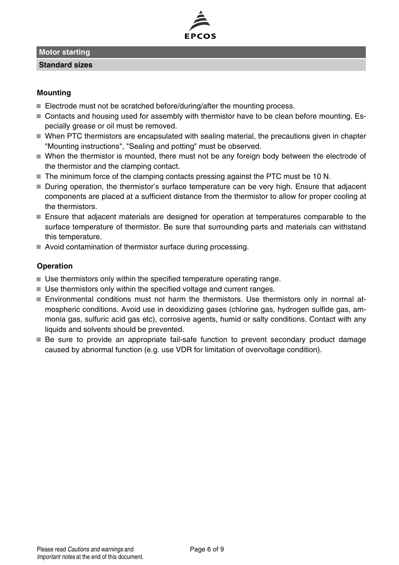**Standard sizes**

#### **Mounting**

- Electrode must not be scratched before/during/after the mounting process.
- Contacts and housing used for assembly with thermistor have to be clean before mounting. Especially grease or oil must be removed.
- When PTC thermistors are encapsulated with sealing material, the precautions given in chapter "Mounting instructions", "Sealing and potting" must be observed.
- When the thermistor is mounted, there must not be any foreign body between the electrode of the thermistor and the clamping contact.
- The minimum force of the clamping contacts pressing against the PTC must be 10 N.
- During operation, the thermistor's surface temperature can be very high. Ensure that adjacent components are placed at a sufficient distance from the thermistor to allow for proper cooling at the thermistors.
- Ensure that adjacent materials are designed for operation at temperatures comparable to the surface temperature of thermistor. Be sure that surrounding parts and materials can withstand this temperature.
- Avoid contamination of thermistor surface during processing.

#### **Operation**

- Use thermistors only within the specified temperature operating range.
- Use thermistors only within the specified voltage and current ranges.
- Environmental conditions must not harm the thermistors. Use thermistors only in normal atmospheric conditions. Avoid use in deoxidizing gases (chlorine gas, hydrogen sulfide gas, ammonia gas, sulfuric acid gas etc), corrosive agents, humid or salty conditions. Contact with any liquids and solvents should be prevented.
- Be sure to provide an appropriate fail-safe function to prevent secondary product damage caused by abnormal function (e.g. use VDR for limitation of overvoltage condition).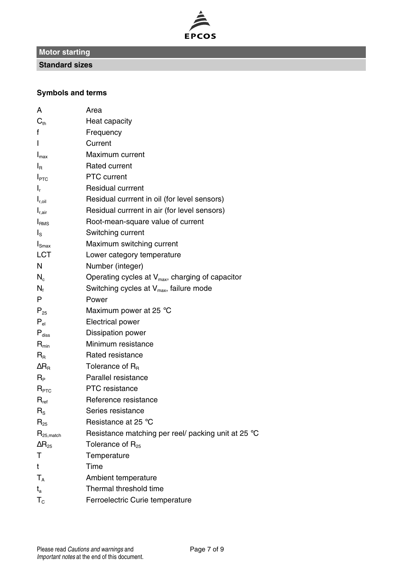

**Standard sizes**

## **Symbols and terms**

| А                        | Area                                                         |
|--------------------------|--------------------------------------------------------------|
| $C_{\text{th}}$          | Heat capacity                                                |
| f                        | Frequency                                                    |
| L                        | Current                                                      |
| $I_{\text{max}}$         | Maximum current                                              |
| $I_{\rm R}$              | Rated current                                                |
| $I_{\text{PTC}}$         | <b>PTC</b> current                                           |
| I,                       | <b>Residual currrent</b>                                     |
| $I_{r, oil}$             | Residual currrent in oil (for level sensors)                 |
| $I_{r,air}$              | Residual currrent in air (for level sensors)                 |
| I <sub>RMS</sub>         | Root-mean-square value of current                            |
| ءا                       | Switching current                                            |
| $I_{\text{Smax}}$        | Maximum switching current                                    |
| LCT                      | Lower category temperature                                   |
| N                        | Number (integer)                                             |
| N.                       | Operating cycles at V <sub>max</sub> , charging of capacitor |
| $N_f$                    | Switching cycles at $V_{\text{max}}$ , failure mode          |
| P                        | Power                                                        |
| $P_{25}$                 | Maximum power at 25 °C                                       |
| $P_{\text{el}}$          | <b>Electrical power</b>                                      |
| $P_{\text{diss}}$        | Dissipation power                                            |
| $R_{\text{min}}$         | Minimum resistance                                           |
| $R_{\rm R}$              | Rated resistance                                             |
| $\Delta$ R <sub>R</sub>  | Tolerance of $R_{B}$                                         |
| Rр                       | Parallel resistance                                          |
| R <sub>PTC</sub>         | <b>PTC</b> resistance                                        |
| $R_{ref}$                | Reference resistance                                         |
| $R_{\rm s}$              | Series resistance                                            |
| $R_{25}$                 | Resistance at 25 °C                                          |
| $R_{25,match}$           | Resistance matching per reel/ packing unit at 25 °C          |
| $\Delta \mathsf{R}_{25}$ | Tolerance of $R_{25}$                                        |
| т                        | Temperature                                                  |
| t                        | Time                                                         |
| $T_{\Delta}$             | Ambient temperature                                          |
| t,                       | Thermal threshold time                                       |
| $T_{\rm c}$              | Ferroelectric Curie temperature                              |
|                          |                                                              |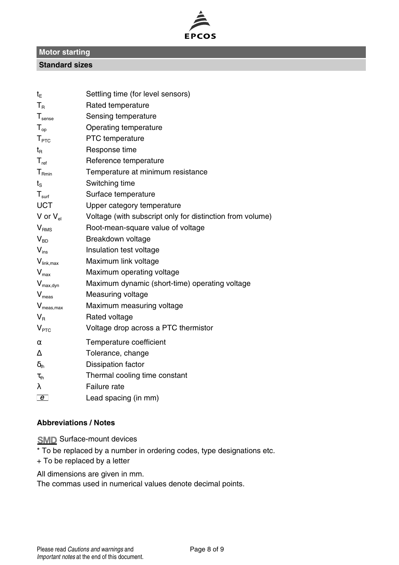

#### **Standard sizes**

| t <sub>F</sub>        | Settling time (for level sensors)                         |
|-----------------------|-----------------------------------------------------------|
| $T_R$                 | Rated temperature                                         |
| $T_{\text{sense}}$    | Sensing temperature                                       |
| $T_{op}$              | Operating temperature                                     |
| T <sub>PTC</sub>      | <b>PTC</b> temperature                                    |
| $t_{\mathsf{R}}$      | Response time                                             |
| $T_{ref}$             | Reference temperature                                     |
| $T_{\text{Rmin}}$     | Temperature at minimum resistance                         |
| $t_{\rm s}$           | Switching time                                            |
| $T_{\text{surf}}$     | Surface temperature                                       |
| <b>UCT</b>            | Upper category temperature                                |
| V or $V_{el}$         | Voltage (with subscript only for distinction from volume) |
| V <sub>RMS</sub>      | Root-mean-square value of voltage                         |
| $V_{BD}$              | Breakdown voltage                                         |
| $V_{ins}$             | Insulation test voltage                                   |
| $V_{\text{link,max}}$ | Maximum link voltage                                      |
| $V_{\text{max}}$      | Maximum operating voltage                                 |
| $V_{\text{max,dyn}}$  | Maximum dynamic (short-time) operating voltage            |
| $V_{meas}$            | Measuring voltage                                         |
| $V_{meas,max}$        | Maximum measuring voltage                                 |
| $V_{\rm R}$           | Rated voltage                                             |
| V <sub>PTC</sub>      | Voltage drop across a PTC thermistor                      |
| $\alpha$              | Temperature coefficient                                   |
| ٨                     | Tolerance, change                                         |
| $\delta_{\text{th}}$  | Dissipation factor                                        |
| $\tau_{\text{th}}$    | Thermal cooling time constant                             |
| λ                     | Failure rate                                              |
| e                     | Lead spacing (in mm)                                      |

#### **Abbreviations / Notes**

**SMD** Surface-mount devices

\* To be replaced by a number in ordering codes, type designations etc.

+ To be replaced by a letter

All dimensions are given in mm.

The commas used in numerical values denote decimal points.